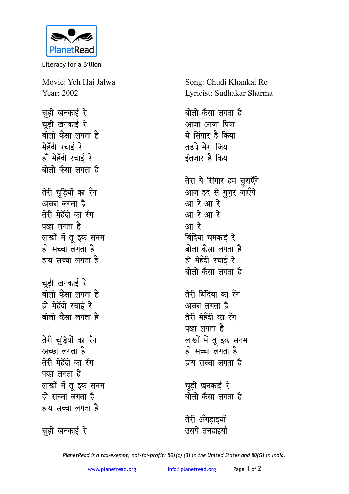

Literacy for a Billion

Movie: Yeh Hai Jalwa Year: 2002

चडी खनकाई रे चूड़ी खनकाई रे बोलो कैसा लगता है मेहँदी रचाई रे हाँ मेहँदी रचाई रे बोलो कैसा लगता है तेरी चूड़ियों का रँग अच्छा लगता है तेरी मेहँदी का रँग पक्का लगता है लाखों में तू इक सनम हो सच्चा लगता है हाय सच्चा लगता है चूड़ी खनकाई रे बोलो कैसा लगता है हो मेहँदी रचाई रे बोलो कैसा लगता है तेरी चूड़ियों का रँग अच्छा लगता है तेरी मेहँदी का रँग पक्का लगता है लाखों में तू इक सनम हो सच्चा लगता है हाय सच्चा लगता है

चूड़ी खनकाई रे

Song: Chudi Khankai Re Lyricist: Sudhakar Sharma

बोलो कैसा लगता है आजा आजा पिया ये सिंगार है किया तडपे मेरा जिया इंतजार है किया तेरा ये सिंगार हम चुराएँगे आज हद से गुज़र जाएँगे आ रे आ रे आ रे आ रे आ रे बिंदिया चमकाई रे बोला कैसा लगता है हो मेहँदी रचाई रे बोलो कैसा लगता है तेरी बिंदिया का रँग अच्छा लगता है तेरी मेहँदी का रँग पक्का लगता है लाखों में तू इक सनम हो सच्चा लगता है हाय सच्चा लगता है चूड़ी खनकाई रे बोलो कैसा लगता है

तेरी ॲंगड़ाइयाँ उसपे तनहाइयाँ

PlanetRead is a tax-exempt, not-for-profit: 501(c) (3) in the United States and 80(G) in India.